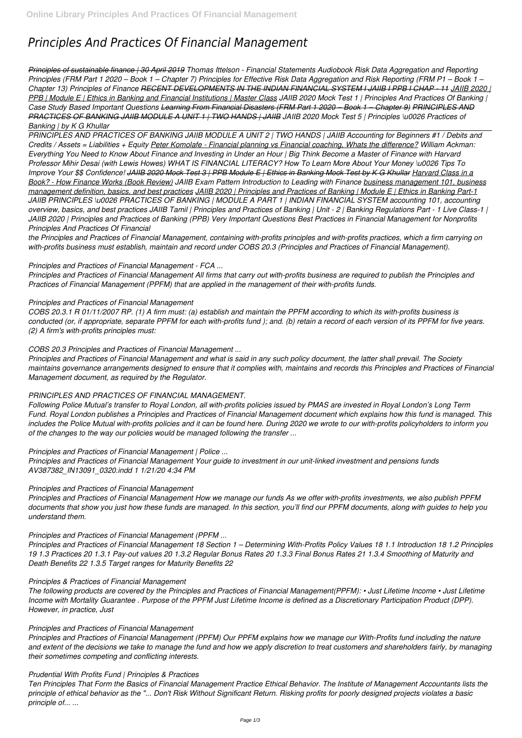# *Principles And Practices Of Financial Management*

*Principles of sustainable finance | 30 April 2019 Thomas Ittelson - Financial Statements Audiobook Risk Data Aggregation and Reporting Principles (FRM Part 1 2020 – Book 1 – Chapter 7) Principles for Effective Risk Data Aggregation and Risk Reporting (FRM P1 – Book 1 – Chapter 13) Principles of Finance RECENT DEVELOPMENTS IN THE INDIAN FINANCIAL SYSTEM I JAIIB I PPB I CHAP - 11 JAIIB 2020 | PPB | Module E | Ethics in Banking and Financial Institutions | Master Class JAIIB 2020 Mock Test 1 | Principles And Practices Of Banking | Case Study Based Important Questions Learning From Financial Disasters (FRM Part 1 2020 – Book 1 – Chapter 9) PRINCIPLES AND PRACTICES OF BANKING JAIIB MODULE A UNIT 1 | TWO HANDS | JAIIB JAIIB 2020 Mock Test 5 | Principles \u0026 Practices of*

## *Banking | by K G Khullar*

*PRINCIPLES AND PRACTICES OF BANKING JAIIB MODULE A UNIT 2 | TWO HANDS | JAIIB Accounting for Beginners #1 / Debits and Credits / Assets = Liabilities + Equity Peter Komolafe - Financial planning vs Financial coaching, Whats the difference? William Ackman: Everything You Need to Know About Finance and Investing in Under an Hour | Big Think Become a Master of Finance with Harvard Professor Mihir Desai (with Lewis Howes) WHAT IS FINANCIAL LITERACY? How To Learn More About Your Money \u0026 Tips To Improve Your \$\$ Confidence! JAIIB 2020 Mock Test 3 | PPB Module E | Ethics in Banking Mock Test by K G Khullar Harvard Class in a Book? - How Finance Works (Book Review) JAIIB Exam Pattern Introduction to Leading with Finance business management 101, business management definition, basics, and best practices JAIIB 2020 | Principles and Practices of Banking | Module E | Ethics in Banking Part-1 JAIIB PRINCIPLES \u0026 PRACTICES OF BANKING | MODULE A PART 1 | INDIAN FINANCIAL SYSTEM accounting 101, accounting overview, basics, and best practices JAIIB Tamil | Principles and Practices of Banking | Unit - 2 | Banking Regulations Part - 1 Live Class-1 | JAIIB 2020 | Principles and Practices of Banking (PPB) Very Important Questions Best Practices in Financial Management for Nonprofits Principles And Practices Of Financial*

*the Principles and Practices of Financial Management, containing with-profits principles and with-profits practices, which a firm carrying on with-profits business must establish, maintain and record under COBS 20.3 (Principles and Practices of Financial Management).*

## *Principles and Practices of Financial Management - FCA ...*

*Principles and Practices of Financial Management All firms that carry out with-profits business are required to publish the Principles and Practices of Financial Management (PPFM) that are applied in the management of their with-profits funds.*

## *Principles and Practices of Financial Management*

*COBS 20.3.1 R 01/11/2007 RP. (1) A firm must: (a) establish and maintain the PPFM according to which its with-profits business is conducted (or, if appropriate, separate PPFM for each with-profits fund ); and. (b) retain a record of each version of its PPFM for five years. (2) A firm's with-profits principles must:*

# *COBS 20.3 Principles and Practices of Financial Management ...*

*Principles and Practices of Financial Management and what is said in any such policy document, the latter shall prevail. The Society maintains governance arrangements designed to ensure that it complies with, maintains and records this Principles and Practices of Financial Management document, as required by the Regulator.*

## *PRINCIPLES AND PRACTICES OF FINANCIAL MANAGEMENT.*

*Following Police Mutual's transfer to Royal London, all with-profits policies issued by PMAS are invested in Royal London's Long Term Fund. Royal London publishes a Principles and Practices of Financial Management document which explains how this fund is managed. This includes the Police Mutual with-profits policies and it can be found here. During 2020 we wrote to our with-profits policyholders to inform you of the changes to the way our policies would be managed following the transfer ...*

## *Principles and Practices of Financial Management | Police ...*

*Principles and Practices of Financial Management Your guide to investment in our unit-linked investment and pensions funds AV387382\_IN13091\_0320.indd 1 1/21/20 4:34 PM*

## *Principles and Practices of Financial Management*

*Principles and Practices of Financial Management How we manage our funds As we offer with-profits investments, we also publish PPFM documents that show you just how these funds are managed. In this section, you'll find our PPFM documents, along with guides to help you understand them.*

# *Principles and Practices of Financial Management (PPFM ...*

*Principles and Practices of Financial Management 18 Section 1 – Determining With-Profits Policy Values 18 1.1 Introduction 18 1.2 Principles 19 1.3 Practices 20 1.3.1 Pay-out values 20 1.3.2 Regular Bonus Rates 20 1.3.3 Final Bonus Rates 21 1.3.4 Smoothing of Maturity and Death Benefits 22 1.3.5 Target ranges for Maturity Benefits 22*

#### *Principles & Practices of Financial Management*

*The following products are covered by the Principles and Practices of Financial Management(PPFM): • Just Lifetime Income • Just Lifetime Income with Mortality Guarantee . Purpose of the PPFM Just Lifetime Income is defined as a Discretionary Participation Product (DPP). However, in practice, Just*

#### *Principles and Practices of Financial Management*

*Principles and Practices of Financial Management (PPFM) Our PPFM explains how we manage our With-Profits fund including the nature and extent of the decisions we take to manage the fund and how we apply discretion to treat customers and shareholders fairly, by managing their sometimes competing and conflicting interests.*

#### *Prudential With Profits Fund | Principles & Practices*

*Ten Principles That Form the Basics of Financial Management Practice Ethical Behavior. The Institute of Management Accountants lists the principle of ethical behavior as the "... Don't Risk Without Significant Return. Risking profits for poorly designed projects violates a basic principle of... ...*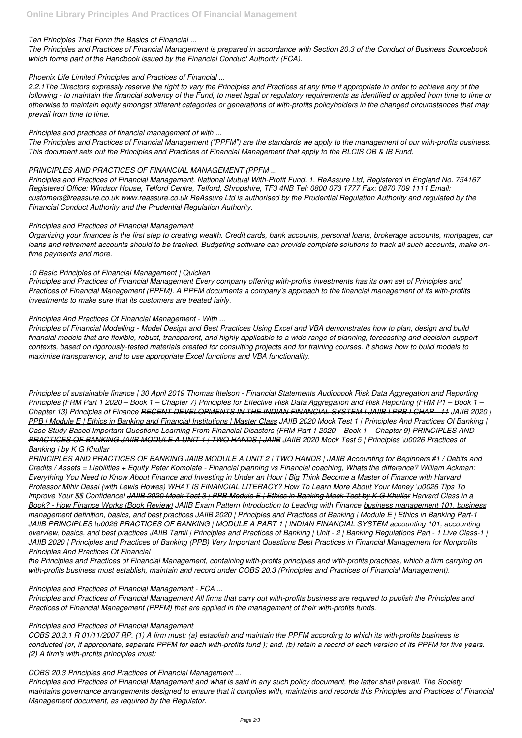## *Ten Principles That Form the Basics of Financial ...*

*The Principles and Practices of Financial Management is prepared in accordance with Section 20.3 of the Conduct of Business Sourcebook which forms part of the Handbook issued by the Financial Conduct Authority (FCA).*

## *Phoenix Life Limited Principles and Practices of Financial ...*

*2.2.1The Directors expressly reserve the right to vary the Principles and Practices at any time if appropriate in order to achieve any of the following - to maintain the financial solvency of the Fund, to meet legal or regulatory requirements as identified or applied from time to time or otherwise to maintain equity amongst different categories or generations of with-profits policyholders in the changed circumstances that may prevail from time to time.*

## *Principles and practices of financial management of with ...*

*The Principles and Practices of Financial Management ("PPFM") are the standards we apply to the management of our with-profits business. This document sets out the Principles and Practices of Financial Management that apply to the RLCIS OB & IB Fund.*

## *PRINCIPLES AND PRACTICES OF FINANCIAL MANAGEMENT (PPFM ...*

*Principles and Practices of Financial Management. National Mutual With-Profit Fund. 1. ReAssure Ltd, Registered in England No. 754167 Registered Office: Windsor House, Telford Centre, Telford, Shropshire, TF3 4NB Tel: 0800 073 1777 Fax: 0870 709 1111 Email: customers@reassure.co.uk www.reassure.co.uk ReAssure Ltd is authorised by the Prudential Regulation Authority and regulated by the Financial Conduct Authority and the Prudential Regulation Authority.*

## *Principles and Practices of Financial Management*

*Organizing your finances is the first step to creating wealth. Credit cards, bank accounts, personal loans, brokerage accounts, mortgages, car loans and retirement accounts should to be tracked. Budgeting software can provide complete solutions to track all such accounts, make ontime payments and more.*

## *10 Basic Principles of Financial Management | Quicken*

*Principles and Practices of Financial Management Every company offering with-profits investments has its own set of Principles and Practices of Financial Management (PPFM). A PPFM documents a company's approach to the financial management of its with-profits investments to make sure that its customers are treated fairly.*

## *Principles And Practices Of Financial Management - With ...*

*Principles of Financial Modelling - Model Design and Best Practices Using Excel and VBA demonstrates how to plan, design and build financial models that are flexible, robust, transparent, and highly applicable to a wide range of planning, forecasting and decision-support contexts, based on rigorously-tested materials created for consulting projects and for training courses. It shows how to build models to maximise transparency, and to use appropriate Excel functions and VBA functionality.*

*Principles of sustainable finance | 30 April 2019 Thomas Ittelson - Financial Statements Audiobook Risk Data Aggregation and Reporting Principles (FRM Part 1 2020 – Book 1 – Chapter 7) Principles for Effective Risk Data Aggregation and Risk Reporting (FRM P1 – Book 1 – Chapter 13) Principles of Finance RECENT DEVELOPMENTS IN THE INDIAN FINANCIAL SYSTEM I JAIIB I PPB I CHAP - 11 JAIIB 2020 | PPB | Module E | Ethics in Banking and Financial Institutions | Master Class JAIIB 2020 Mock Test 1 | Principles And Practices Of Banking | Case Study Based Important Questions Learning From Financial Disasters (FRM Part 1 2020 – Book 1 – Chapter 9) PRINCIPLES AND PRACTICES OF BANKING JAIIB MODULE A UNIT 1 | TWO HANDS | JAIIB JAIIB 2020 Mock Test 5 | Principles \u0026 Practices of Banking | by K G Khullar*

*PRINCIPLES AND PRACTICES OF BANKING JAIIB MODULE A UNIT 2 | TWO HANDS | JAIIB Accounting for Beginners #1 / Debits and Credits / Assets = Liabilities + Equity Peter Komolafe - Financial planning vs Financial coaching, Whats the difference? William Ackman: Everything You Need to Know About Finance and Investing in Under an Hour | Big Think Become a Master of Finance with Harvard Professor Mihir Desai (with Lewis Howes) WHAT IS FINANCIAL LITERACY? How To Learn More About Your Money \u0026 Tips To Improve Your \$\$ Confidence! JAIIB 2020 Mock Test 3 | PPB Module E | Ethics in Banking Mock Test by K G Khullar Harvard Class in a Book? - How Finance Works (Book Review) JAIIB Exam Pattern Introduction to Leading with Finance business management 101, business management definition, basics, and best practices JAIIB 2020 | Principles and Practices of Banking | Module E | Ethics in Banking Part-1 JAIIB PRINCIPLES \u0026 PRACTICES OF BANKING | MODULE A PART 1 | INDIAN FINANCIAL SYSTEM accounting 101, accounting overview, basics, and best practices JAIIB Tamil | Principles and Practices of Banking | Unit - 2 | Banking Regulations Part - 1 Live Class-1 | JAIIB 2020 | Principles and Practices of Banking (PPB) Very Important Questions Best Practices in Financial Management for Nonprofits Principles And Practices Of Financial*

*the Principles and Practices of Financial Management, containing with-profits principles and with-profits practices, which a firm carrying on with-profits business must establish, maintain and record under COBS 20.3 (Principles and Practices of Financial Management).*

#### *Principles and Practices of Financial Management - FCA ...*

*Principles and Practices of Financial Management All firms that carry out with-profits business are required to publish the Principles and Practices of Financial Management (PPFM) that are applied in the management of their with-profits funds.*

#### *Principles and Practices of Financial Management*

*COBS 20.3.1 R 01/11/2007 RP. (1) A firm must: (a) establish and maintain the PPFM according to which its with-profits business is conducted (or, if appropriate, separate PPFM for each with-profits fund ); and. (b) retain a record of each version of its PPFM for five years. (2) A firm's with-profits principles must:*

## *COBS 20.3 Principles and Practices of Financial Management ...*

*Principles and Practices of Financial Management and what is said in any such policy document, the latter shall prevail. The Society maintains governance arrangements designed to ensure that it complies with, maintains and records this Principles and Practices of Financial Management document, as required by the Regulator.*